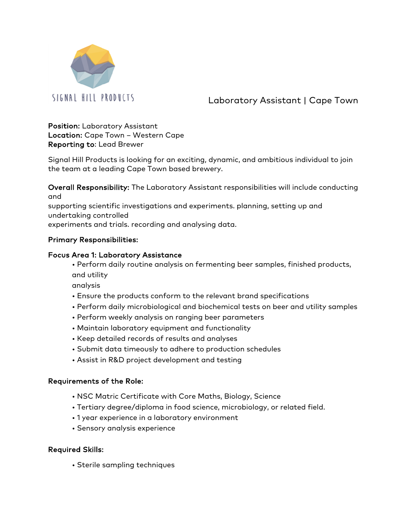

Laboratory Assistant | Cape Town

Position: Laboratory Assistant Location: Cape Town – Western Cape Reporting to: Lead Brewer

Signal Hill Products is looking for an exciting, dynamic, and ambitious individual to join the team at a leading Cape Town based brewery.

Overall Responsibility: The Laboratory Assistant responsibilities will include conducting and

supporting scientific investigations and experiments. planning, setting up and undertaking controlled

experiments and trials. recording and analysing data.

## Primary Responsibilities:

## Focus Area 1: Laboratory Assistance

• Perform daily routine analysis on fermenting beer samples, finished products, and utility

analysis

- Ensure the products conform to the relevant brand specifications
- Perform daily microbiological and biochemical tests on beer and utility samples
- Perform weekly analysis on ranging beer parameters
- Maintain laboratory equipment and functionality
- Keep detailed records of results and analyses
- Submit data timeously to adhere to production schedules
- Assist in R&D project development and testing

## Requirements of the Role:

- NSC Matric Certificate with Core Maths, Biology, Science
- Tertiary degree/diploma in food science, microbiology, or related field.
- 1 year experience in a laboratory environment
- Sensory analysis experience

## Required Skills:

• Sterile sampling techniques